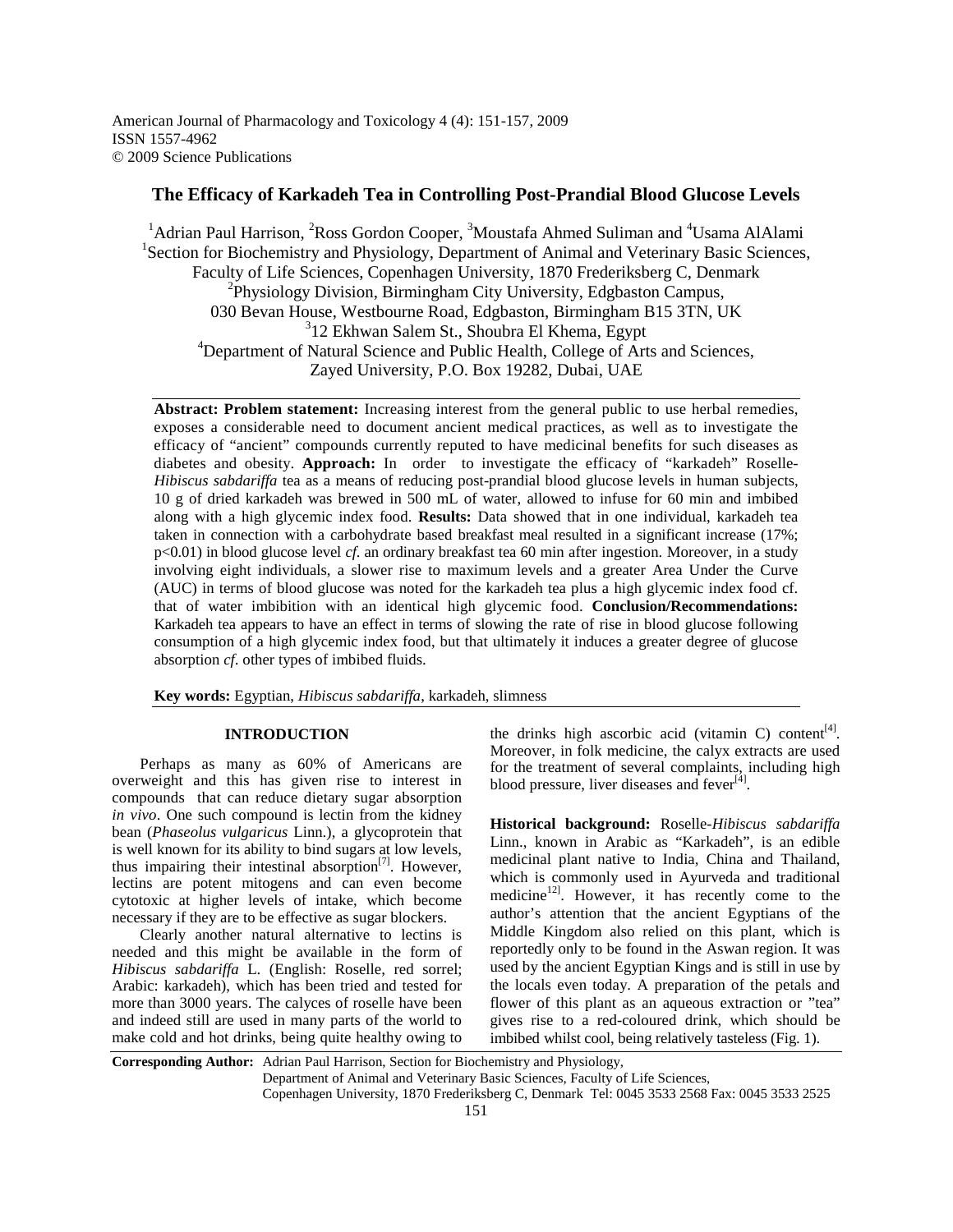# **The Efficacy of Karkadeh Tea in Controlling Post-Prandial Blood Glucose Levels**

<sup>1</sup> Adrian Paul Harrison, <sup>2</sup>Ross Gordon Cooper, <sup>3</sup>Moustafa Ahmed Suliman and <sup>4</sup>Usama AlAlami <sup>1</sup>Section for Biochemistry and Physiology, Department of Animal and Veterinary Basic Sciences, Faculty of Life Sciences, Copenhagen University, 1870 Frederiksberg C, Denmark <sup>2</sup>Physiology Division, Birmingham City University, Edgbaston Campus, 030 Bevan House, Westbourne Road, Edgbaston, Birmingham B15 3TN, UK 3 12 Ekhwan Salem St., Shoubra El Khema, Egypt <sup>4</sup>Department of Natural Science and Public Health, College of Arts and Sciences, Zayed University, P.O. Box 19282, Dubai, UAE

**Abstract: Problem statement:** Increasing interest from the general public to use herbal remedies, exposes a considerable need to document ancient medical practices, as well as to investigate the efficacy of "ancient" compounds currently reputed to have medicinal benefits for such diseases as diabetes and obesity. **Approach:** In order to investigate the efficacy of "karkadeh" Roselle-*Hibiscus sabdariffa* tea as a means of reducing post-prandial blood glucose levels in human subjects, 10 g of dried karkadeh was brewed in 500 mL of water, allowed to infuse for 60 min and imbibed along with a high glycemic index food. **Results:** Data showed that in one individual, karkadeh tea taken in connection with a carbohydrate based breakfast meal resulted in a significant increase (17%; p<0.01) in blood glucose level *cf*. an ordinary breakfast tea 60 min after ingestion. Moreover, in a study involving eight individuals, a slower rise to maximum levels and a greater Area Under the Curve (AUC) in terms of blood glucose was noted for the karkadeh tea plus a high glycemic index food cf. that of water imbibition with an identical high glycemic food. **Conclusion/Recommendations:** Karkadeh tea appears to have an effect in terms of slowing the rate of rise in blood glucose following consumption of a high glycemic index food, but that ultimately it induces a greater degree of glucose absorption *cf*. other types of imbibed fluids.

**Key words:** Egyptian, *Hibiscus sabdariffa*, karkadeh, slimness

#### **INTRODUCTION**

 Perhaps as many as 60% of Americans are overweight and this has given rise to interest in compounds that can reduce dietary sugar absorption *in vivo*. One such compound is lectin from the kidney bean (*Phaseolus vulgaricus* Linn.), a glycoprotein that is well known for its ability to bind sugars at low levels, thus impairing their intestinal absorption $[7]$ . However, lectins are potent mitogens and can even become cytotoxic at higher levels of intake, which become necessary if they are to be effective as sugar blockers.

 Clearly another natural alternative to lectins is needed and this might be available in the form of *Hibiscus sabdariffa* L. (English: Roselle, red sorrel; Arabic: karkadeh), which has been tried and tested for more than 3000 years. The calyces of roselle have been and indeed still are used in many parts of the world to make cold and hot drinks, being quite healthy owing to

the drinks high ascorbic acid (vitamin C) content<sup>[4]</sup>. Moreover, in folk medicine, the calyx extracts are used for the treatment of several complaints, including high blood pressure, liver diseases and fever<sup>[4]</sup>.

**Historical background:** Roselle-*Hibiscus sabdariffa* Linn., known in Arabic as "Karkadeh", is an edible medicinal plant native to India, China and Thailand, which is commonly used in Ayurveda and traditional medicine<sup>12]</sup>. However, it has recently come to the author's attention that the ancient Egyptians of the Middle Kingdom also relied on this plant, which is reportedly only to be found in the Aswan region. It was used by the ancient Egyptian Kings and is still in use by the locals even today. A preparation of the petals and flower of this plant as an aqueous extraction or "tea" gives rise to a red-coloured drink, which should be imbibed whilst cool, being relatively tasteless (Fig. 1).

**Corresponding Author:** Adrian Paul Harrison, Section for Biochemistry and Physiology,

Copenhagen University, 1870 Frederiksberg C, Denmark Tel: 0045 3533 2568 Fax: 0045 3533 2525

Department of Animal and Veterinary Basic Sciences, Faculty of Life Sciences,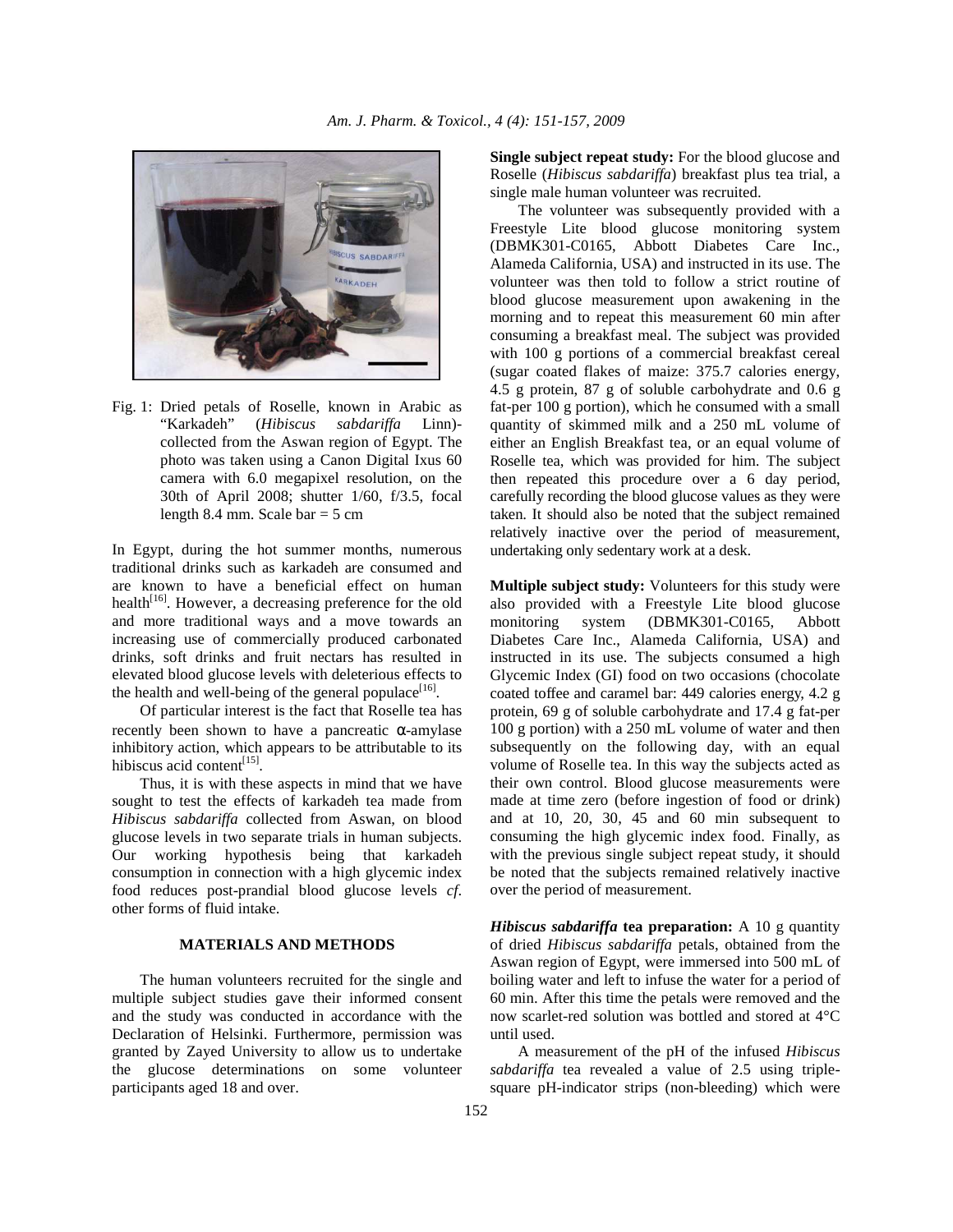

Fig. 1: Dried petals of Roselle, known in Arabic as "Karkadeh" (*Hibiscus sabdariffa* Linn) collected from the Aswan region of Egypt. The photo was taken using a Canon Digital Ixus 60 camera with 6.0 megapixel resolution, on the 30th of April 2008; shutter 1/60, f/3.5, focal length 8.4 mm. Scale  $bar = 5$  cm

In Egypt, during the hot summer months, numerous traditional drinks such as karkadeh are consumed and are known to have a beneficial effect on human health<sup>[16]</sup>. However, a decreasing preference for the old and more traditional ways and a move towards an increasing use of commercially produced carbonated drinks, soft drinks and fruit nectars has resulted in elevated blood glucose levels with deleterious effects to the health and well-being of the general populace $^{[16]}$ .

 Of particular interest is the fact that Roselle tea has recently been shown to have a pancreatic  $\alpha$ -amylase inhibitory action, which appears to be attributable to its hibiscus acid content<sup>[15]</sup>.

 Thus, it is with these aspects in mind that we have sought to test the effects of karkadeh tea made from *Hibiscus sabdariffa* collected from Aswan, on blood glucose levels in two separate trials in human subjects. Our working hypothesis being that karkadeh consumption in connection with a high glycemic index food reduces post-prandial blood glucose levels *cf*. other forms of fluid intake.

#### **MATERIALS AND METHODS**

 The human volunteers recruited for the single and multiple subject studies gave their informed consent and the study was conducted in accordance with the Declaration of Helsinki. Furthermore, permission was granted by Zayed University to allow us to undertake the glucose determinations on some volunteer participants aged 18 and over.

**Single subject repeat study:** For the blood glucose and Roselle (*Hibiscus sabdariffa*) breakfast plus tea trial, a single male human volunteer was recruited.

 The volunteer was subsequently provided with a Freestyle Lite blood glucose monitoring system (DBMK301-C0165, Abbott Diabetes Care Inc., Alameda California, USA) and instructed in its use. The volunteer was then told to follow a strict routine of blood glucose measurement upon awakening in the morning and to repeat this measurement 60 min after consuming a breakfast meal. The subject was provided with 100 g portions of a commercial breakfast cereal (sugar coated flakes of maize: 375.7 calories energy, 4.5 g protein, 87 g of soluble carbohydrate and 0.6 g fat-per 100 g portion), which he consumed with a small quantity of skimmed milk and a 250 mL volume of either an English Breakfast tea, or an equal volume of Roselle tea, which was provided for him. The subject then repeated this procedure over a 6 day period, carefully recording the blood glucose values as they were taken. It should also be noted that the subject remained relatively inactive over the period of measurement, undertaking only sedentary work at a desk.

**Multiple subject study:** Volunteers for this study were also provided with a Freestyle Lite blood glucose monitoring system (DBMK301-C0165, Abbott Diabetes Care Inc., Alameda California, USA) and instructed in its use. The subjects consumed a high Glycemic Index (GI) food on two occasions (chocolate coated toffee and caramel bar: 449 calories energy, 4.2 g protein, 69 g of soluble carbohydrate and 17.4 g fat-per 100 g portion) with a 250 mL volume of water and then subsequently on the following day, with an equal volume of Roselle tea. In this way the subjects acted as their own control. Blood glucose measurements were made at time zero (before ingestion of food or drink) and at 10, 20, 30, 45 and 60 min subsequent to consuming the high glycemic index food. Finally, as with the previous single subject repeat study, it should be noted that the subjects remained relatively inactive over the period of measurement.

*Hibiscus sabdariffa* **tea preparation:** A 10 g quantity of dried *Hibiscus sabdariffa* petals, obtained from the Aswan region of Egypt, were immersed into 500 mL of boiling water and left to infuse the water for a period of 60 min. After this time the petals were removed and the now scarlet-red solution was bottled and stored at 4°C until used.

 A measurement of the pH of the infused *Hibiscus sabdariffa* tea revealed a value of 2.5 using triplesquare pH-indicator strips (non-bleeding) which were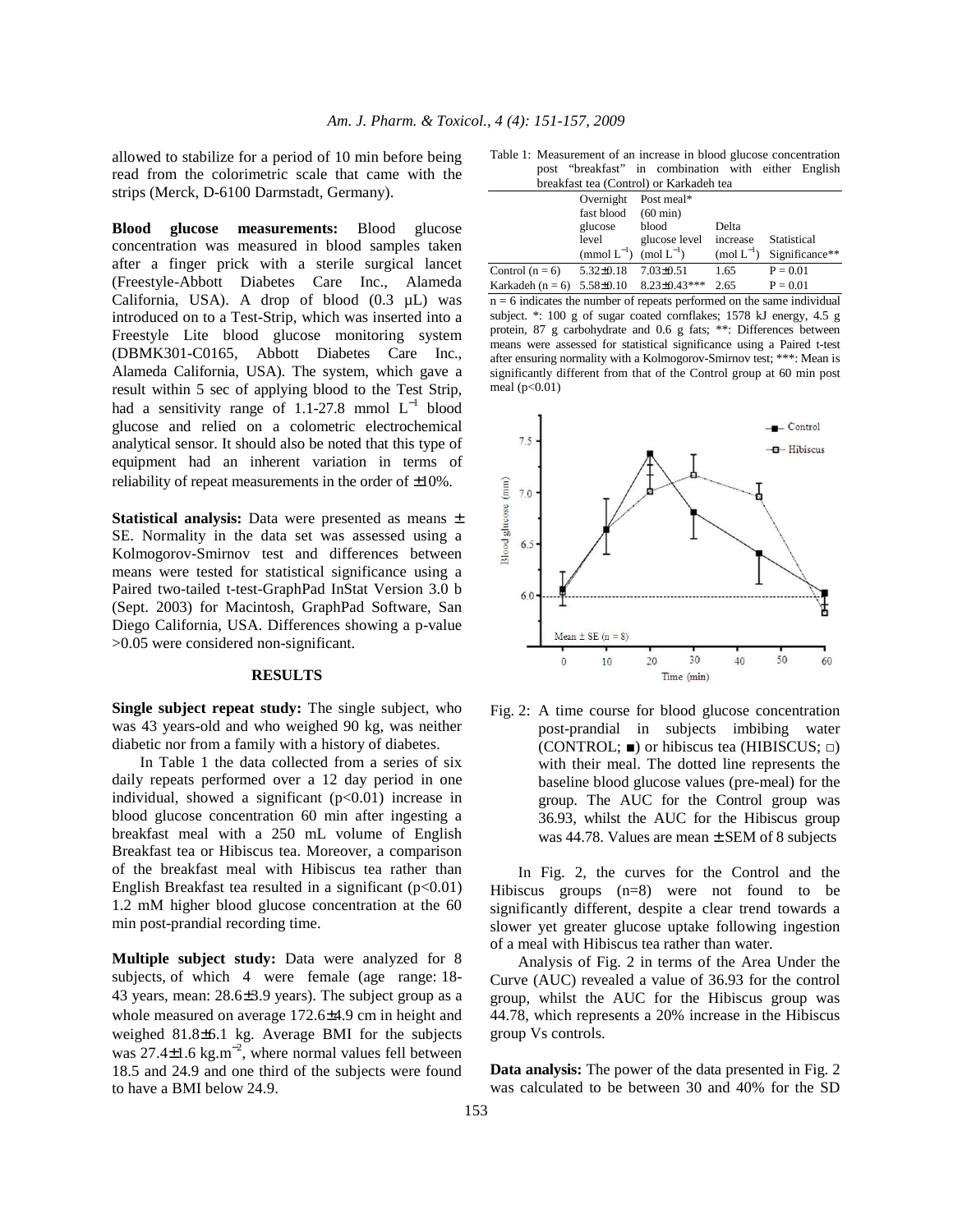allowed to stabilize for a period of 10 min before being read from the colorimetric scale that came with the strips (Merck, D-6100 Darmstadt, Germany).

**Blood glucose measurements:** Blood glucose concentration was measured in blood samples taken after a finger prick with a sterile surgical lancet (Freestyle-Abbott Diabetes Care Inc., Alameda California, USA). A drop of blood (0.3 µL) was introduced on to a Test-Strip, which was inserted into a Freestyle Lite blood glucose monitoring system (DBMK301-C0165, Abbott Diabetes Care Inc., Alameda California, USA). The system, which gave a result within 5 sec of applying blood to the Test Strip, had a sensitivity range of 1.1-27.8 mmol  $L^{-1}$  blood glucose and relied on a colometric electrochemical analytical sensor. It should also be noted that this type of equipment had an inherent variation in terms of reliability of repeat measurements in the order of ±10%.

**Statistical analysis:** Data were presented as means  $\pm$ SE. Normality in the data set was assessed using a Kolmogorov-Smirnov test and differences between means were tested for statistical significance using a Paired two-tailed t-test-GraphPad InStat Version 3.0 b (Sept. 2003) for Macintosh, GraphPad Software, San Diego California, USA. Differences showing a p-value >0.05 were considered non-significant.

## **RESULTS**

**Single subject repeat study:** The single subject, who was 43 years-old and who weighed 90 kg, was neither diabetic nor from a family with a history of diabetes.

 In Table 1 the data collected from a series of six daily repeats performed over a 12 day period in one individual, showed a significant  $(p<0.01)$  increase in blood glucose concentration 60 min after ingesting a breakfast meal with a 250 mL volume of English Breakfast tea or Hibiscus tea. Moreover, a comparison of the breakfast meal with Hibiscus tea rather than English Breakfast tea resulted in a significant  $(p<0.01)$ 1.2 mM higher blood glucose concentration at the 60 min post-prandial recording time.

**Multiple subject study:** Data were analyzed for 8 subjects, of which 4 were female (age range: 18- 43 years, mean: 28.6±3.9 years). The subject group as a whole measured on average 172.6±4.9 cm in height and weighed 81.8±6.1 kg. Average BMI for the subjects was  $27.4 \pm 1.6$  kg.m<sup>-2</sup>, where normal values fell between 18.5 and 24.9 and one third of the subjects were found to have a BMI below 24.9.

Table 1: Measurement of an increase in blood glucose concentration post "breakfast" in combination with either English breakfast tea (Control) or Karkadeh tea

| breakrast tea (Control) or Karkaden tea |                                  |                     |                                |                |  |  |
|-----------------------------------------|----------------------------------|---------------------|--------------------------------|----------------|--|--|
|                                         | Overnight                        | Post meal*          |                                |                |  |  |
|                                         | fast blood (60 min)              |                     |                                |                |  |  |
|                                         | glucose                          | blood               | Delta                          |                |  |  |
|                                         | level                            | glucose level       | increase                       | Statistical    |  |  |
|                                         | (mmol $L^{-1}$ ) (mol $L^{-1}$ ) |                     | $\text{ (mol } L^{-1}\text{)}$ | Significance** |  |  |
| Control $(n = 6)$                       | $5.32 \pm 0.18$                  | $7.03 \pm 0.51$     | 1.65                           | $P = 0.01$     |  |  |
| Karkadeh (n = 6) $5.58 \pm 0.10$        |                                  | $8.23 \pm 0.43$ *** | 2.65                           | $P = 0.01$     |  |  |

 $n = 6$  indicates the number of repeats performed on the same individual subject. \*: 100 g of sugar coated cornflakes; 1578 kJ energy, 4.5 g protein, 87 g carbohydrate and 0.6 g fats; \*\*: Differences between means were assessed for statistical significance using a Paired t-test after ensuring normality with a Kolmogorov-Smirnov test; \*\*\*: Mean is significantly different from that of the Control group at 60 min post meal  $(p<0.01)$ 



Fig. 2: A time course for blood glucose concentration post-prandial in subjects imbibing water  $(CONTROL; \blacksquare)$  or hibiscus tea (HIBISCUS;  $\square$ ) with their meal. The dotted line represents the baseline blood glucose values (pre-meal) for the group. The AUC for the Control group was 36.93, whilst the AUC for the Hibiscus group was 44.78. Values are mean  $\pm$  SEM of 8 subjects

 In Fig. 2, the curves for the Control and the Hibiscus groups (n=8) were not found to be significantly different, despite a clear trend towards a slower yet greater glucose uptake following ingestion of a meal with Hibiscus tea rather than water.

 Analysis of Fig. 2 in terms of the Area Under the Curve (AUC) revealed a value of 36.93 for the control group, whilst the AUC for the Hibiscus group was 44.78, which represents a 20% increase in the Hibiscus group Vs controls.

**Data analysis:** The power of the data presented in Fig. 2 was calculated to be between 30 and 40% for the SD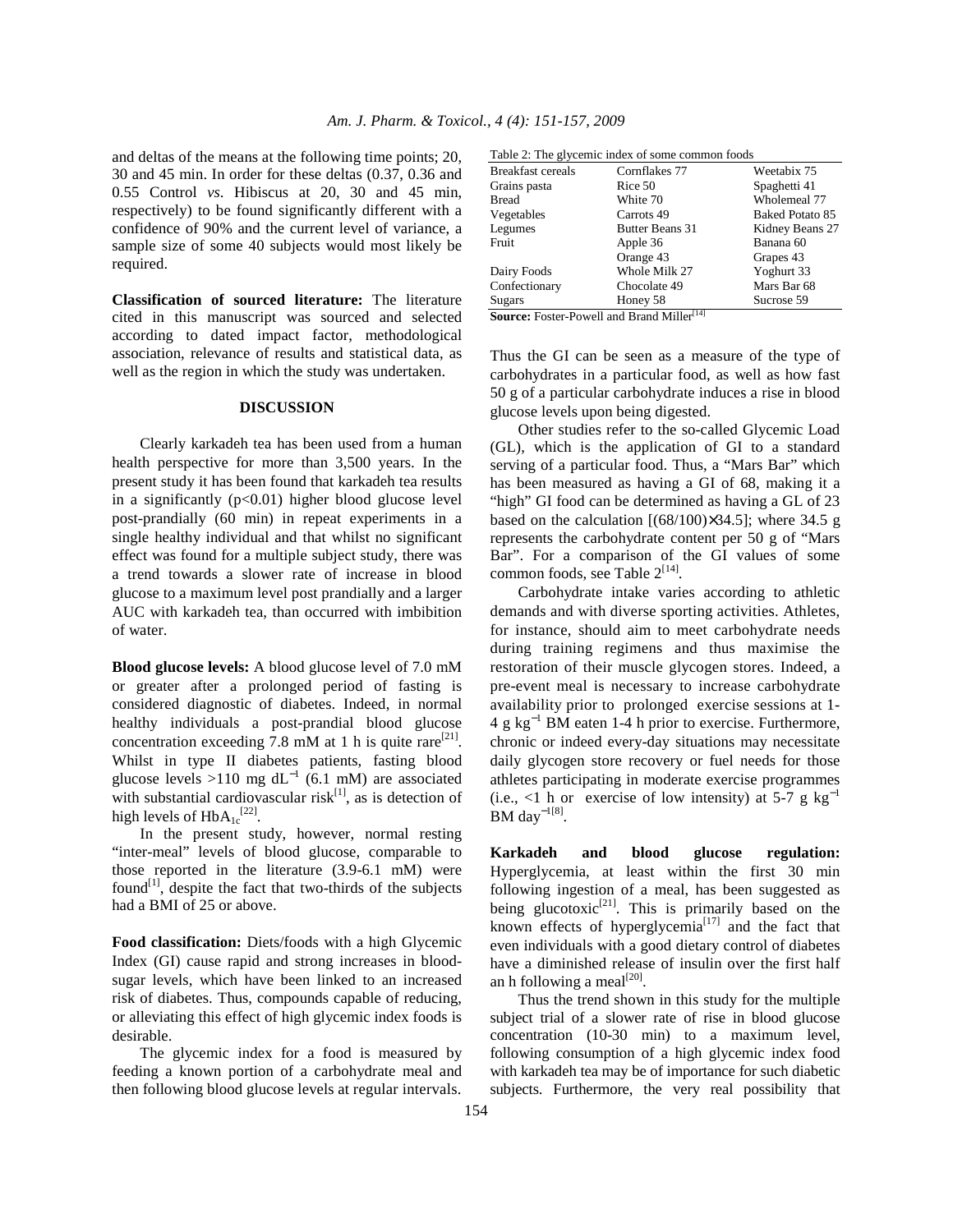and deltas of the means at the following time points; 20, 30 and 45 min. In order for these deltas (0.37, 0.36 and 0.55 Control *vs*. Hibiscus at 20, 30 and 45 min, respectively) to be found significantly different with a confidence of 90% and the current level of variance, a sample size of some 40 subjects would most likely be required.

**Classification of sourced literature:** The literature cited in this manuscript was sourced and selected according to dated impact factor, methodological association, relevance of results and statistical data, as well as the region in which the study was undertaken.

#### **DISCUSSION**

 Clearly karkadeh tea has been used from a human health perspective for more than 3,500 years. In the present study it has been found that karkadeh tea results in a significantly  $(p<0.01)$  higher blood glucose level post-prandially (60 min) in repeat experiments in a single healthy individual and that whilst no significant effect was found for a multiple subject study, there was a trend towards a slower rate of increase in blood glucose to a maximum level post prandially and a larger AUC with karkadeh tea, than occurred with imbibition of water.

**Blood glucose levels:** A blood glucose level of 7.0 mM or greater after a prolonged period of fasting is considered diagnostic of diabetes. Indeed, in normal healthy individuals a post-prandial blood glucose concentration exceeding 7.8 mM at 1 h is quite rare<sup>[21]</sup>. Whilst in type II diabetes patients, fasting blood glucose levels >110 mg dL<sup>-1</sup> (6.1 mM) are associated with substantial cardiovascular risk $[1]$ , as is detection of high levels of  $HbA_{1c}^{[22]}$ .

 In the present study, however, normal resting "inter-meal" levels of blood glucose, comparable to those reported in the literature (3.9-6.1 mM) were found<sup>[1]</sup>, despite the fact that two-thirds of the subjects had a BMI of 25 or above.

**Food classification:** Diets/foods with a high Glycemic Index (GI) cause rapid and strong increases in bloodsugar levels, which have been linked to an increased risk of diabetes. Thus, compounds capable of reducing, or alleviating this effect of high glycemic index foods is desirable.

 The glycemic index for a food is measured by feeding a known portion of a carbohydrate meal and then following blood glucose levels at regular intervals.

| Table 2: The glycemic index of some common foods |          |
|--------------------------------------------------|----------|
|                                                  | $TT$ $1$ |

| <b>Breakfast cereals</b>                                      | Cornflakes 77   | Weetabix 75     |  |  |
|---------------------------------------------------------------|-----------------|-----------------|--|--|
| Grains pasta                                                  | Rice 50         | Spaghetti 41    |  |  |
| <b>Bread</b>                                                  | White 70        | Wholemeal 77    |  |  |
| Vegetables                                                    | Carrots 49      | Baked Potato 85 |  |  |
| Legumes                                                       | Butter Beans 31 | Kidney Beans 27 |  |  |
| Fruit                                                         | Apple 36        | Banana 60       |  |  |
|                                                               | Orange 43       | Grapes 43       |  |  |
| Dairy Foods                                                   | Whole Milk 27   | Yoghurt 33      |  |  |
| Confectionary                                                 | Chocolate 49    | Mars Bar 68     |  |  |
| Sugars                                                        | Honey 58        | Sucrose 59      |  |  |
| <b>Source:</b> Foster-Powell and Brand Miller <sup>[14]</sup> |                 |                 |  |  |

Thus the GI can be seen as a measure of the type of carbohydrates in a particular food, as well as how fast 50 g of a particular carbohydrate induces a rise in blood glucose levels upon being digested.

 Other studies refer to the so-called Glycemic Load (GL), which is the application of GI to a standard serving of a particular food. Thus, a "Mars Bar" which has been measured as having a GI of 68, making it a "high" GI food can be determined as having a GL of 23 based on the calculation  $[(68/100)\times34.5]$ ; where 34.5 g represents the carbohydrate content per 50 g of "Mars Bar". For a comparison of the GI values of some common foods, see Table  $2^{[14]}$ .

 Carbohydrate intake varies according to athletic demands and with diverse sporting activities. Athletes, for instance, should aim to meet carbohydrate needs during training regimens and thus maximise the restoration of their muscle glycogen stores. Indeed, a pre-event meal is necessary to increase carbohydrate availability prior to prolonged exercise sessions at 1-  $4 \text{ g kg}^{-1}$  BM eaten 1-4 h prior to exercise. Furthermore, chronic or indeed every-day situations may necessitate daily glycogen store recovery or fuel needs for those athletes participating in moderate exercise programmes (i.e., <1 h or exercise of low intensity) at  $5-7$  g kg<sup>-1</sup> BM day $^{-1[8]}$ .

**Karkadeh and blood glucose regulation:**  Hyperglycemia, at least within the first 30 min following ingestion of a meal, has been suggested as being glucotoxic<sup>[21]</sup>. This is primarily based on the known effects of hyperglycemia<sup>[17]</sup> and the fact that even individuals with a good dietary control of diabetes have a diminished release of insulin over the first half an h following a meal $^{[20]}$ .

 Thus the trend shown in this study for the multiple subject trial of a slower rate of rise in blood glucose concentration (10-30 min) to a maximum level, following consumption of a high glycemic index food with karkadeh tea may be of importance for such diabetic subjects. Furthermore, the very real possibility that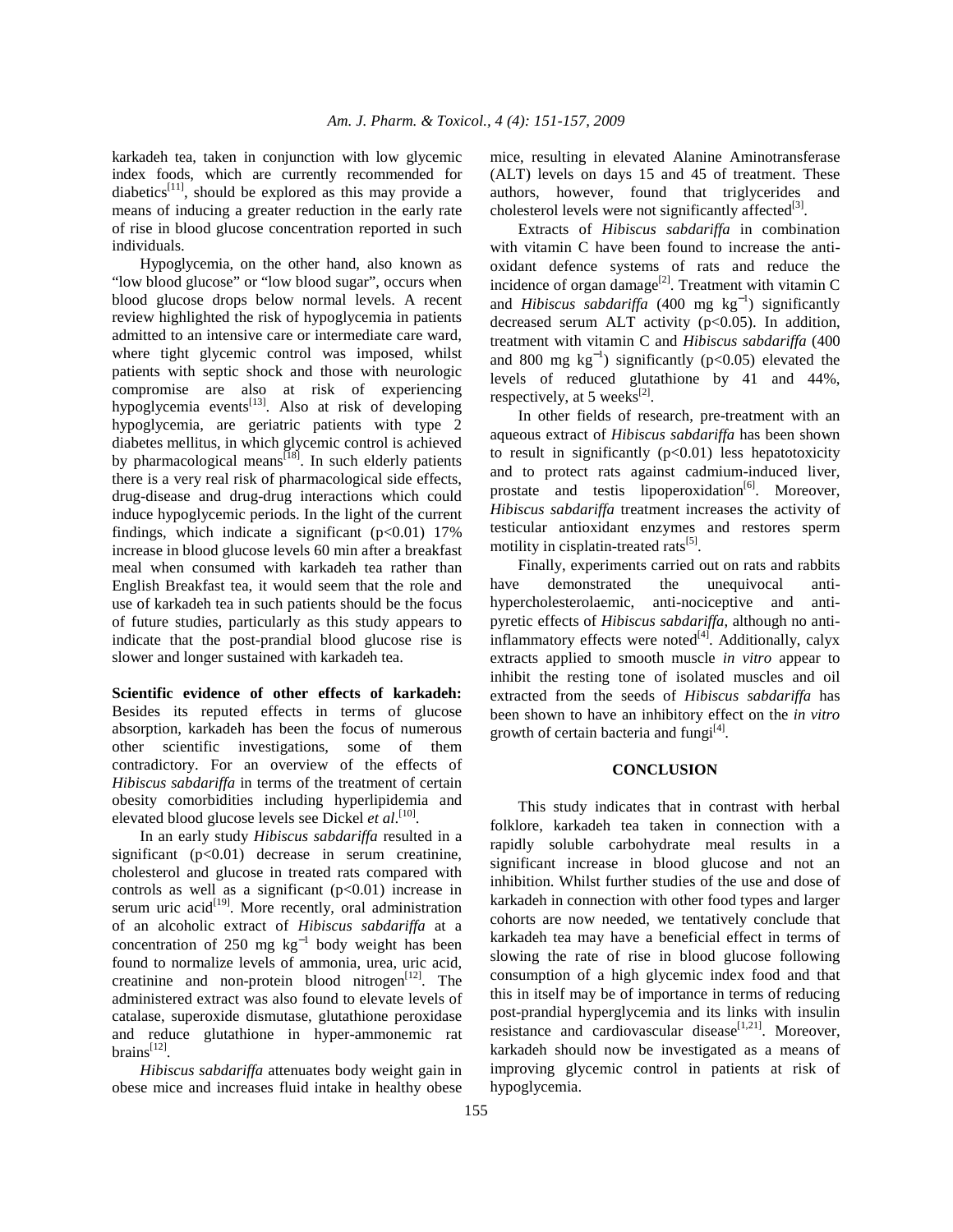karkadeh tea, taken in conjunction with low glycemic index foods, which are currently recommended for diabetics<sup>[11]</sup>, should be explored as this may provide a means of inducing a greater reduction in the early rate of rise in blood glucose concentration reported in such individuals.

 Hypoglycemia, on the other hand, also known as "low blood glucose" or "low blood sugar", occurs when blood glucose drops below normal levels. A recent review highlighted the risk of hypoglycemia in patients admitted to an intensive care or intermediate care ward, where tight glycemic control was imposed, whilst patients with septic shock and those with neurologic compromise are also at risk of experiencing hypoglycemia events<sup>[13]</sup>. Also at risk of developing hypoglycemia, are geriatric patients with type 2 diabetes mellitus, in which glycemic control is achieved by pharmacological means<sup>[18]</sup>. In such elderly patients there is a very real risk of pharmacological side effects, drug-disease and drug-drug interactions which could induce hypoglycemic periods. In the light of the current findings, which indicate a significant  $(p<0.01)$  17% increase in blood glucose levels 60 min after a breakfast meal when consumed with karkadeh tea rather than English Breakfast tea, it would seem that the role and use of karkadeh tea in such patients should be the focus of future studies, particularly as this study appears to indicate that the post-prandial blood glucose rise is slower and longer sustained with karkadeh tea.

**Scientific evidence of other effects of karkadeh:**  Besides its reputed effects in terms of glucose absorption, karkadeh has been the focus of numerous other scientific investigations, some of them contradictory. For an overview of the effects of *Hibiscus sabdariffa* in terms of the treatment of certain obesity comorbidities including hyperlipidemia and elevated blood glucose levels see Dickel *et al*.<sup>[10]</sup>.

 In an early study *Hibiscus sabdariffa* resulted in a significant (p<0.01) decrease in serum creatinine, cholesterol and glucose in treated rats compared with controls as well as a significant  $(p<0.01)$  increase in serum uric  $\arctan(199)$ . More recently, oral administration of an alcoholic extract of *Hibiscus sabdariffa* at a concentration of 250 mg  $kg^{-1}$  body weight has been found to normalize levels of ammonia, urea, uric acid, creatinine and non-protein blood nitrogen $[12]$ . The administered extract was also found to elevate levels of catalase, superoxide dismutase, glutathione peroxidase and reduce glutathione in hyper-ammonemic rat brains $^{[12]}$ .

 *Hibiscus sabdariffa* attenuates body weight gain in obese mice and increases fluid intake in healthy obese mice, resulting in elevated Alanine Aminotransferase (ALT) levels on days 15 and 45 of treatment. These authors, however, found that triglycerides and cholesterol levels were not significantly affected $^{[3]}$ .

 Extracts of *Hibiscus sabdariffa* in combination with vitamin C have been found to increase the antioxidant defence systems of rats and reduce the incidence of organ damage<sup>[2]</sup>. Treatment with vitamin C and *Hibiscus sabdariffa* (400 mg  $kg^{-1}$ ) significantly decreased serum ALT activity  $(p<0.05)$ . In addition, treatment with vitamin C and *Hibiscus sabdariffa* (400 and 800 mg  $kg^{-1}$ ) significantly (p<0.05) elevated the levels of reduced glutathione by 41 and 44%, respectively, at 5 weeks $^{[2]}$ .

 In other fields of research, pre-treatment with an aqueous extract of *Hibiscus sabdariffa* has been shown to result in significantly  $(p<0.01)$  less hepatotoxicity and to protect rats against cadmium-induced liver, prostate and testis lipoperoxidation<sup>[6]</sup>. Moreover, *Hibiscus sabdariffa* treatment increases the activity of testicular antioxidant enzymes and restores sperm motility in cisplatin-treated rats<sup>[5]</sup>.

 Finally, experiments carried out on rats and rabbits have demonstrated the unequivocal antihypercholesterolaemic, anti-nociceptive and antipyretic effects of *Hibiscus sabdariffa*, although no antiinflammatory effects were noted $^{[4]}$ . Additionally, calyx extracts applied to smooth muscle *in vitro* appear to inhibit the resting tone of isolated muscles and oil extracted from the seeds of *Hibiscus sabdariffa* has been shown to have an inhibitory effect on the *in vitro* growth of certain bacteria and fungi $^{[4]}$ .

# **CONCLUSION**

 This study indicates that in contrast with herbal folklore, karkadeh tea taken in connection with a rapidly soluble carbohydrate meal results in a significant increase in blood glucose and not an inhibition. Whilst further studies of the use and dose of karkadeh in connection with other food types and larger cohorts are now needed, we tentatively conclude that karkadeh tea may have a beneficial effect in terms of slowing the rate of rise in blood glucose following consumption of a high glycemic index food and that this in itself may be of importance in terms of reducing post-prandial hyperglycemia and its links with insulin resistance and cardiovascular disease $[1,21]$ . Moreover, karkadeh should now be investigated as a means of improving glycemic control in patients at risk of hypoglycemia.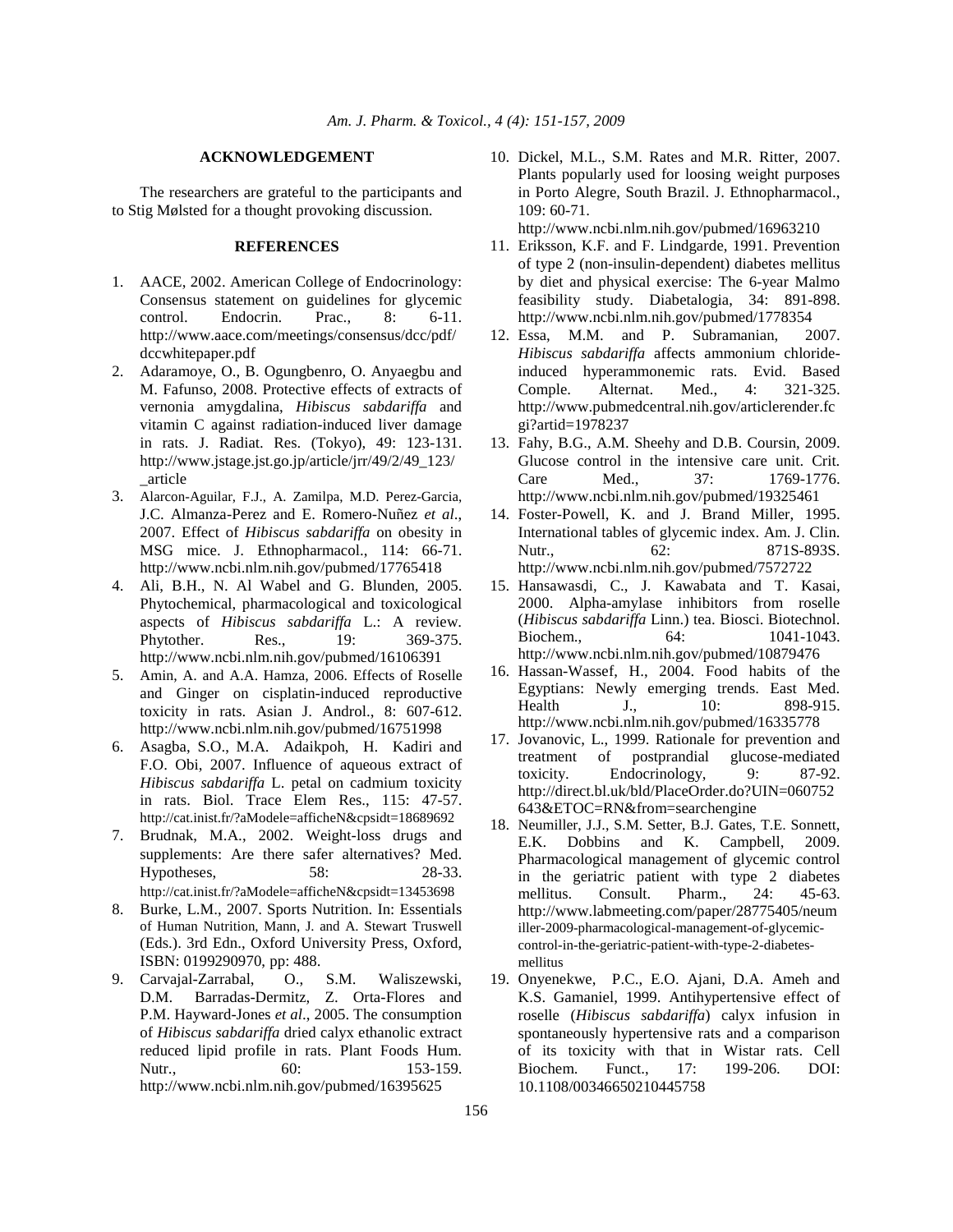#### **ACKNOWLEDGEMENT**

 The researchers are grateful to the participants and to Stig Mølsted for a thought provoking discussion.

## **REFERENCES**

- 1. AACE, 2002. American College of Endocrinology: Consensus statement on guidelines for glycemic control. Endocrin. Prac., 8: 6-11. http://www.aace.com/meetings/consensus/dcc/pdf/ dccwhitepaper.pdf
- 2. Adaramoye, O., B. Ogungbenro, O. Anyaegbu and M. Fafunso, 2008. Protective effects of extracts of vernonia amygdalina, *Hibiscus sabdariffa* and vitamin C against radiation-induced liver damage in rats. J. Radiat. Res. (Tokyo), 49: 123-131. http://www.jstage.jst.go.jp/article/jrr/49/2/49\_123/ \_article
- 3. Alarcon-Aguilar, F.J., A. Zamilpa, M.D. Perez-Garcia, J.C. Almanza-Perez and E. Romero-Nuñez *et al*., 2007. Effect of *Hibiscus sabdariffa* on obesity in MSG mice. J. Ethnopharmacol., 114: 66-71. http://www.ncbi.nlm.nih.gov/pubmed/17765418
- 4. Ali, B.H., N. Al Wabel and G. Blunden, 2005. Phytochemical, pharmacological and toxicological aspects of *Hibiscus sabdariffa* L.: A review. Phytother. Res., 19: 369-375. http://www.ncbi.nlm.nih.gov/pubmed/16106391
- 5. Amin, A. and A.A. Hamza, 2006. Effects of Roselle and Ginger on cisplatin-induced reproductive toxicity in rats. Asian J. Androl., 8: 607-612. http://www.ncbi.nlm.nih.gov/pubmed/16751998
- 6. Asagba, S.O., M.A. Adaikpoh, H. Kadiri and F.O. Obi, 2007. Influence of aqueous extract of *Hibiscus sabdariffa* L. petal on cadmium toxicity in rats. Biol. Trace Elem Res., 115: 47-57. http://cat.inist.fr/?aModele=afficheN&cpsidt=18689692
- 7. Brudnak, M.A., 2002. Weight-loss drugs and supplements: Are there safer alternatives? Med. Hypotheses, 58: 28-33. http://cat.inist.fr/?aModele=afficheN&cpsidt=13453698
- 8. Burke, L.M., 2007. Sports Nutrition. In: Essentials of Human Nutrition, Mann, J. and A. Stewart Truswell (Eds.). 3rd Edn., Oxford University Press, Oxford, ISBN: 0199290970, pp: 488.
- 9. Carvajal-Zarrabal, O., S.M. Waliszewski, D.M. Barradas-Dermitz, Z. Orta-Flores and P.M. Hayward-Jones *et al*., 2005. The consumption of *Hibiscus sabdariffa* dried calyx ethanolic extract reduced lipid profile in rats. Plant Foods Hum. Nutr., 60: 153-159. http://www.ncbi.nlm.nih.gov/pubmed/16395625

10. Dickel, M.L., S.M. Rates and M.R. Ritter, 2007. Plants popularly used for loosing weight purposes in Porto Alegre, South Brazil. J. Ethnopharmacol., 109: 60-71.

http://www.ncbi.nlm.nih.gov/pubmed/16963210

- 11. Eriksson, K.F. and F. Lindgarde, 1991. Prevention of type 2 (non-insulin-dependent) diabetes mellitus by diet and physical exercise: The 6-year Malmo feasibility study. Diabetalogia, 34: 891-898. http://www.ncbi.nlm.nih.gov/pubmed/1778354
- 12. Essa, M.M. and P. Subramanian, 2007. *Hibiscus sabdariffa* affects ammonium chlorideinduced hyperammonemic rats. Evid. Based Comple. Alternat. Med., 4: 321-325. http://www.pubmedcentral.nih.gov/articlerender.fc gi?artid=1978237
- 13. Fahy, B.G., A.M. Sheehy and D.B. Coursin, 2009. Glucose control in the intensive care unit. Crit. Care Med., 37: 1769-1776. http://www.ncbi.nlm.nih.gov/pubmed/19325461
- 14. Foster-Powell, K. and J. Brand Miller, 1995. International tables of glycemic index. Am. J. Clin. Nutr., 62: 871S-893S. http://www.ncbi.nlm.nih.gov/pubmed/7572722
- 15. Hansawasdi, C., J. Kawabata and T. Kasai, 2000. Alpha-amylase inhibitors from roselle (*Hibiscus sabdariffa* Linn.) tea. Biosci. Biotechnol. Biochem.. 64: 1041-1043. http://www.ncbi.nlm.nih.gov/pubmed/10879476
- 16. Hassan-Wassef, H., 2004. Food habits of the Egyptians: Newly emerging trends. East Med. Health J., 10: 898-915. http://www.ncbi.nlm.nih.gov/pubmed/16335778
- 17. Jovanovic, L., 1999. Rationale for prevention and treatment of postprandial glucose-mediated toxicity. Endocrinology, 9: 87-92. http://direct.bl.uk/bld/PlaceOrder.do?UIN=060752 643&ETOC=RN&from=searchengine
- 18. Neumiller, J.J., S.M. Setter, B.J. Gates, T.E. Sonnett, E.K. Dobbins and K. Campbell, 2009. Pharmacological management of glycemic control in the geriatric patient with type 2 diabetes mellitus. Consult. Pharm., 24: 45-63. http://www.labmeeting.com/paper/28775405/neum iller-2009-pharmacological-management-of-glycemiccontrol-in-the-geriatric-patient-with-type-2-diabetesmellitus
- 19. Onyenekwe, P.C., E.O. Ajani, D.A. Ameh and K.S. Gamaniel, 1999. Antihypertensive effect of roselle (*Hibiscus sabdariffa*) calyx infusion in spontaneously hypertensive rats and a comparison of its toxicity with that in Wistar rats. Cell Biochem. Funct., 17: 199-206. DOI: 10.1108/00346650210445758